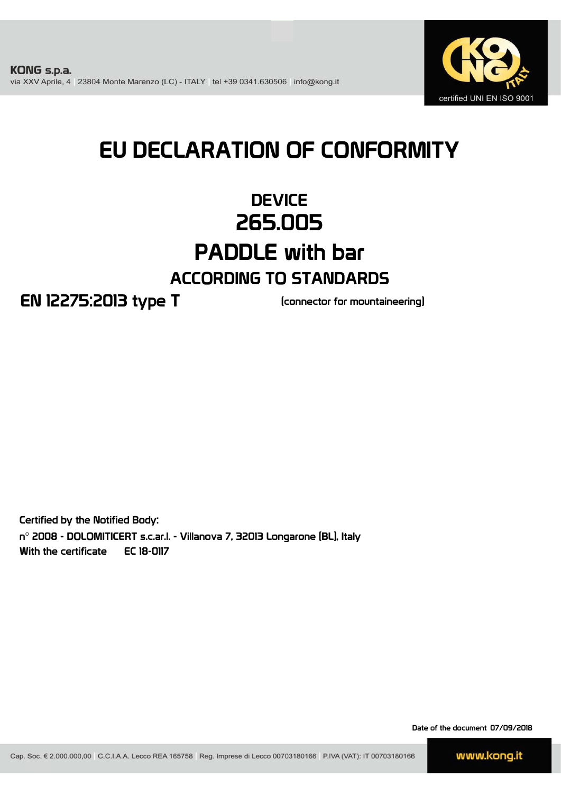

# EU DECLARATION OF CONFORMITY

# **DEVICE** 265.005 PADDLE with bar ACCORDING TO STANDARDS

EN 12275:2013 type T

(connector for mountaineering)

Certified by the Notified Body: n° 2008 - DOLOMITICERT s.c.ar.l. - Villanova 7, 32013 Longarone (BL), Italy With the certificate EC 18-0117

Date of the document 07/09/2018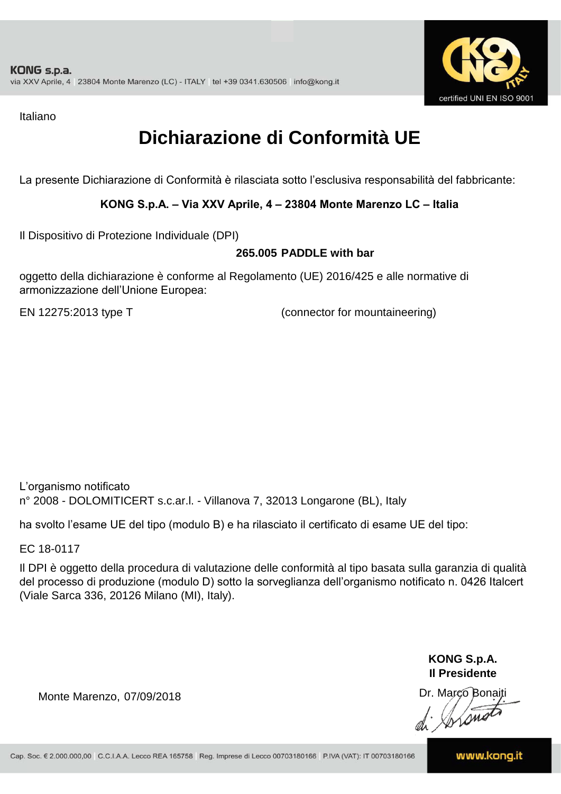

Italiano

# **Dichiarazione di Conformità UE**

La presente Dichiarazione di Conformità è rilasciata sotto l'esclusiva responsabilità del fabbricante:

### **KONG S.p.A. – Via XXV Aprile, 4 – 23804 Monte Marenzo LC – Italia**

Il Dispositivo di Protezione Individuale (DPI)

#### **265.005 PADDLE with bar**

oggetto della dichiarazione è conforme al Regolamento (UE) 2016/425 e alle normative di armonizzazione dell'Unione Europea:

EN 12275:2013 type T

(connector for mountaineering)

L'organismo notificato n° 2008 - DOLOMITICERT s.c.ar.l. - Villanova 7, 32013 Longarone (BL), Italy

ha svolto l'esame UE del tipo (modulo B) e ha rilasciato il certificato di esame UE del tipo:

EC 18-0117

Il DPI è oggetto della procedura di valutazione delle conformità al tipo basata sulla garanzia di qualità del processo di produzione (modulo D) sotto la sorveglianza dell'organismo notificato n. 0426 Italcert (Viale Sarca 336, 20126 Milano (MI), Italy).

> **KONG S.p.A. Il Presidente**

Monte Marenzo, 07/09/2018<br>
Monte Marenzo, 07/09/2018<br>
Marco Bonaiti 1999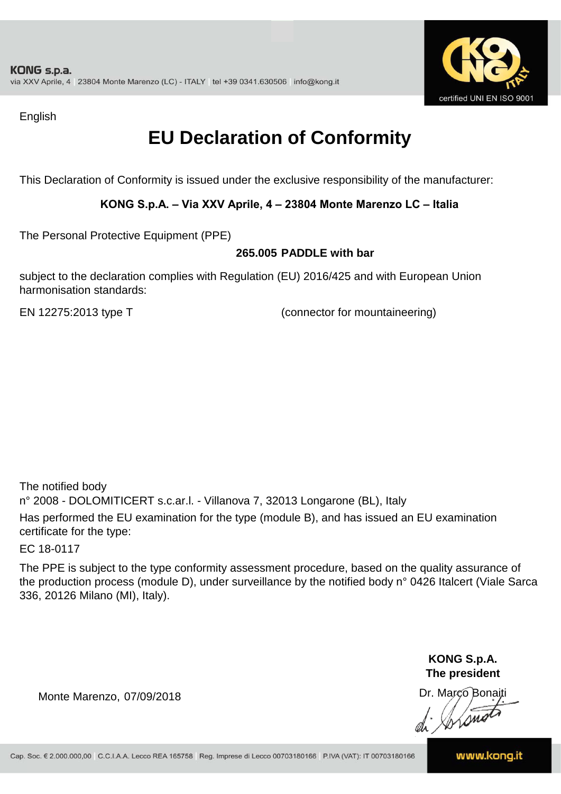

English

## **EU Declaration of Conformity**

This Declaration of Conformity is issued under the exclusive responsibility of the manufacturer:

### **KONG S.p.A. – Via XXV Aprile, 4 – 23804 Monte Marenzo LC – Italia**

The Personal Protective Equipment (PPE)

#### **265.005 PADDLE with bar**

subject to the declaration complies with Regulation (EU) 2016/425 and with European Union harmonisation standards:

EN 12275:2013 type T (connector for mountaineering)

The notified body n° 2008 - DOLOMITICERT s.c.ar.l. - Villanova 7, 32013 Longarone (BL), Italy Has performed the EU examination for the type (module B), and has issued an EU examination certificate for the type:

EC 18-0117

The PPE is subject to the type conformity assessment procedure, based on the quality assurance of the production process (module D), under surveillance by the notified body n° 0426 Italcert (Viale Sarca 336, 20126 Milano (MI), Italy).

> **KONG S.p.A. The president**

Dr. Marco Bonaiti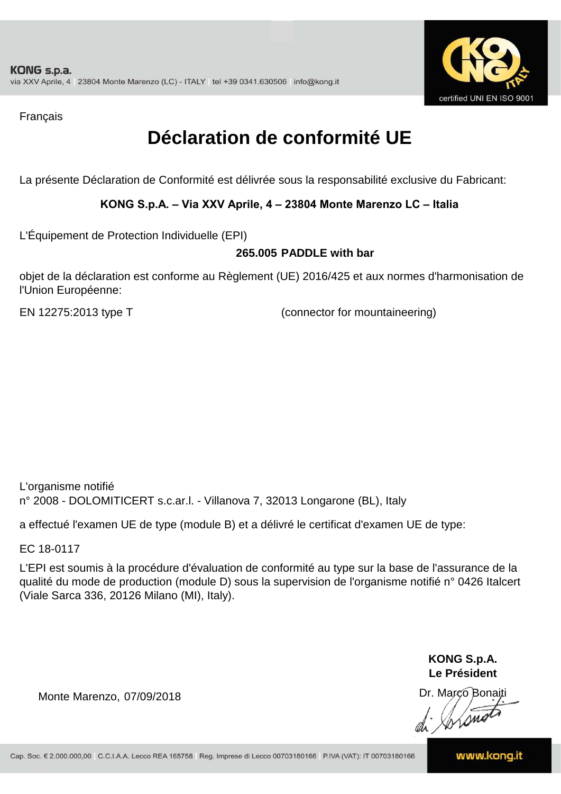

Français

## **Déclaration de conformité UE**

La présente Déclaration de Conformité est délivrée sous la responsabilité exclusive du Fabricant:

### **KONG S.p.A. – Via XXV Aprile, 4 – 23804 Monte Marenzo LC – Italia**

L'Équipement de Protection Individuelle (EPI)

#### **265.005 PADDLE with bar**

objet de la déclaration est conforme au Règlement (UE) 2016/425 et aux normes d'harmonisation de l'Union Européenne:

EN 12275:2013 type T (connector for mountaineering)

L'organisme notifié n° 2008 - DOLOMITICERT s.c.ar.l. - Villanova 7, 32013 Longarone (BL), Italy

a effectué l'examen UE de type (module B) et a délivré le certificat d'examen UE de type:

EC 18-0117

L'EPI est soumis à la procédure d'évaluation de conformité au type sur la base de l'assurance de la qualité du mode de production (module D) sous la supervision de l'organisme notifié n° 0426 Italcert (Viale Sarca 336, 20126 Milano (MI), Italy).

> **KONG S.p.A. Le Président**

Dr. Marco Bonaiti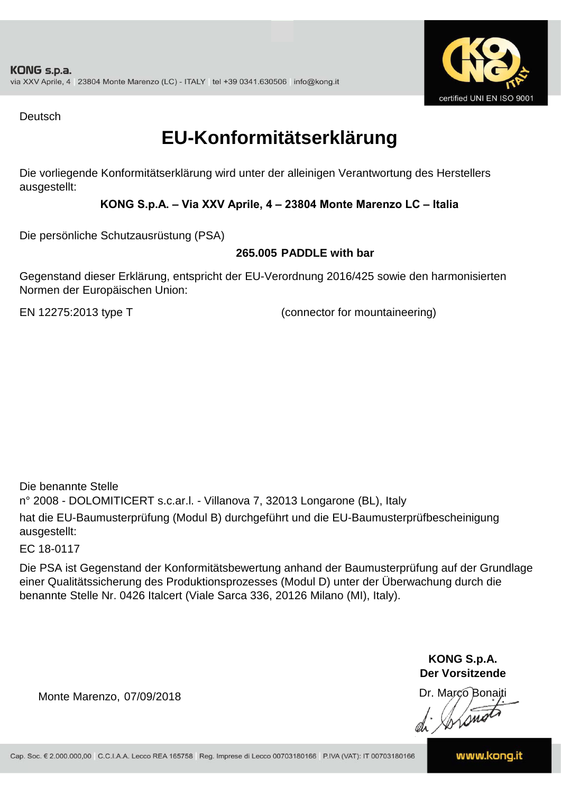

Deutsch

### **EU-Konformitätserklärung**

Die vorliegende Konformitätserklärung wird unter der alleinigen Verantwortung des Herstellers ausgestellt:

### **KONG S.p.A. – Via XXV Aprile, 4 – 23804 Monte Marenzo LC – Italia**

Die persönliche Schutzausrüstung (PSA)

### **265.005 PADDLE with bar**

Gegenstand dieser Erklärung, entspricht der EU-Verordnung 2016/425 sowie den harmonisierten Normen der Europäischen Union:

EN 12275:2013 type T (connector for mountaineering)

n° 2008 - DOLOMITICERT s.c.ar.l. - Villanova 7, 32013 Longarone (BL), Italy hat die EU-Baumusterprüfung (Modul B) durchgeführt und die EU-Baumusterprüfbescheinigung ausgestellt: Die benannte Stelle

EC 18-0117

Die PSA ist Gegenstand der Konformitätsbewertung anhand der Baumusterprüfung auf der Grundlage einer Qualitätssicherung des Produktionsprozesses (Modul D) unter der Überwachung durch die benannte Stelle Nr. 0426 Italcert (Viale Sarca 336, 20126 Milano (MI), Italy).

> **KONG S.p.A. Der Vorsitzende**

Dr. Marco Bonaiti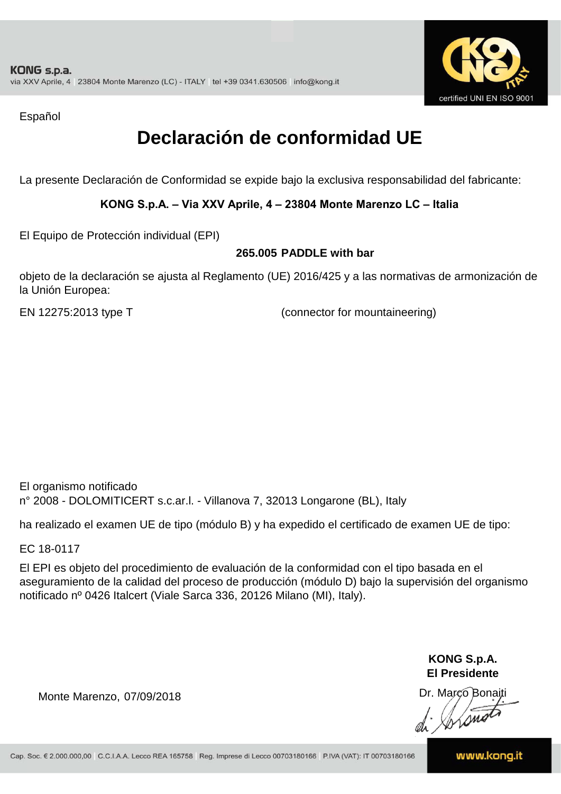

Español

## **Declaración de conformidad UE**

La presente Declaración de Conformidad se expide bajo la exclusiva responsabilidad del fabricante:

### **KONG S.p.A. – Via XXV Aprile, 4 – 23804 Monte Marenzo LC – Italia**

El Equipo de Protección individual (EPI)

#### **265.005 PADDLE with bar**

objeto de la declaración se ajusta al Reglamento (UE) 2016/425 y a las normativas de armonización de la Unión Europea:

EN 12275:2013 type T

(connector for mountaineering)

El organismo notificado n° 2008 - DOLOMITICERT s.c.ar.l. - Villanova 7, 32013 Longarone (BL), Italy

ha realizado el examen UE de tipo (módulo B) y ha expedido el certificado de examen UE de tipo:

EC 18-0117

El EPI es objeto del procedimiento de evaluación de la conformidad con el tipo basada en el aseguramiento de la calidad del proceso de producción (módulo D) bajo la supervisión del organismo notificado nº 0426 Italcert (Viale Sarca 336, 20126 Milano (MI), Italy).

> **KONG S.p.A. El Presidente**

Dr. Marco Bonaiti di Aromor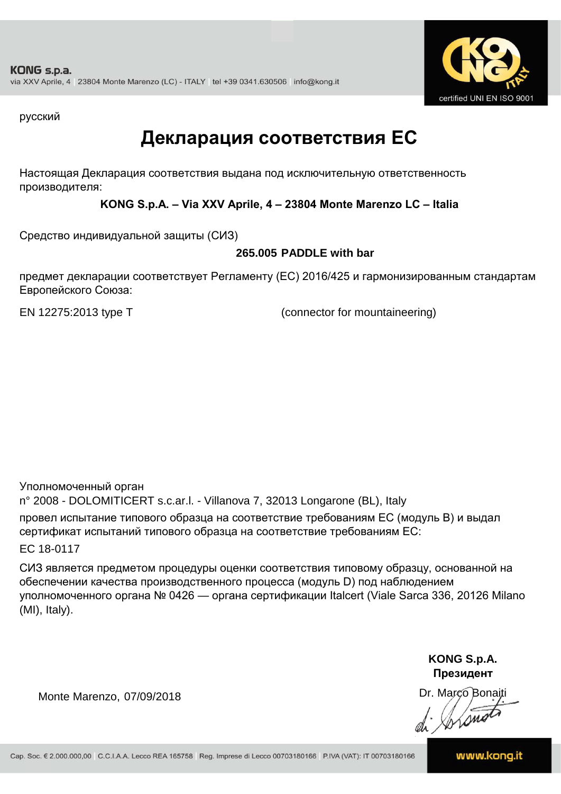

русский

### **Декларация соответствия ЕС**

Настоящая Декларация соответствия выдана под исключительную ответственность производителя:

**KONG S.p.A. – Via XXV Aprile, 4 – 23804 Monte Marenzo LC – Italia**

Средство индивидуальной защиты (СИЗ)

### **265.005 PADDLE with bar**

предмет декларации соответствует Регламенту (ЕС) 2016/425 и гармонизированным стандартам Европейского Союза:

EN 12275:2013 type T (connector for mountaineering)

Уполномоченный орган

n° 2008 - DOLOMITICERT s.c.ar.l. - Villanova 7, 32013 Longarone (BL), Italy провел испытание типового образца на соответствие требованиям ЕС (модуль B) и выдал сертификат испытаний типового образца на соответствие требованиям ЕС:

EC 18-0117

СИЗ является предметом процедуры оценки соответствия типовому образцу, основанной на обеспечении качества производственного процесса (модуль D) под наблюдением уполномоченного органа № 0426 — органа сертификации Italcert (Viale Sarca 336, 20126 Milano (MI), Italy).

> **KONG S.p.A. Президент**

Dr. Marco Bonaiti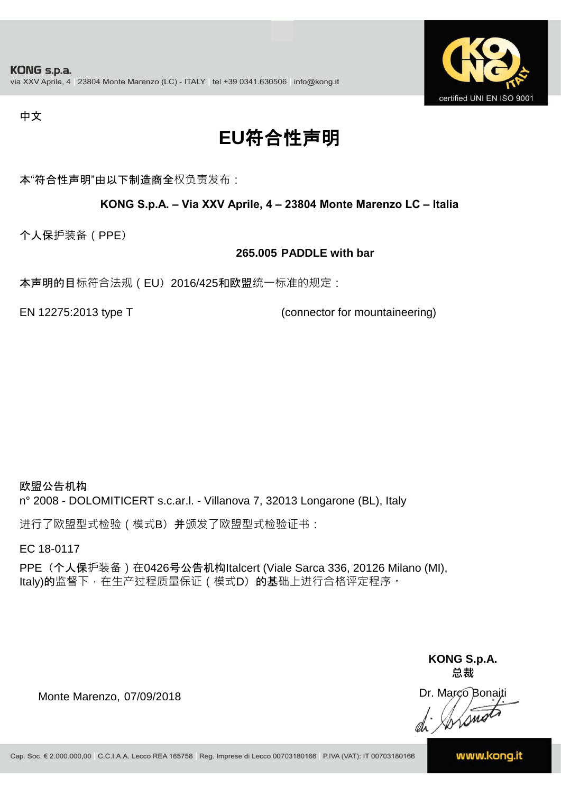

#### 中文

# **EU**符合性声明

本"符合性声明"由以下制造商全权负责发布:

#### **KONG S.p.A. – Via XXV Aprile, 4 – 23804 Monte Marenzo LC – Italia**

个人保护装备(PPE)

#### **265.005 PADDLE with bar**

本声明的目标符合法规(EU) 2016/425和欧盟统一标准的规定:

EN 12275:2013 type T (connector for mountaineering)

欧盟公告机构 n° 2008 - DOLOMITICERT s.c.ar.l. - Villanova 7, 32013 Longarone (BL), Italy

进行了欧盟型式检验(模式B) 并颁发了欧盟型式检验证书:

EC 18-0117

PPE (个人保护装备) 在0426号公告机构Italcert (Viale Sarca 336, 20126 Milano (MI), Italy)的监督下, 在生产过程质量保证 ( 模式D) 的基础上进行合格评定程序。

> **KONG S.p.A. 总裁**

Dr. Marco Bonaiti di Stonot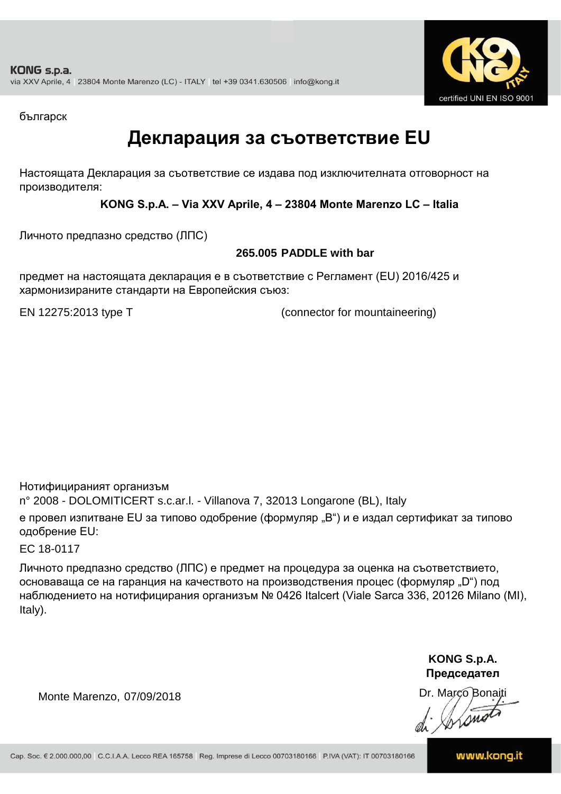

българск

### **Декларация за съответствие EU**

Настоящата Декларация за съответствие се издава под изключителната отговорност на производителя:

**KONG S.p.A. – Via XXV Aprile, 4 – 23804 Monte Marenzo LC – Italia**

Личното предпазно средство (ЛПС)

### **265.005 PADDLE with bar**

предмет на настоящата декларация е в съответствие с Регламент (ЕU) 2016/425 и хармонизираните стандарти на Европейския съюз:

EN 12275:2013 type T (connector for mountaineering)

Нотифицираният организъм

n° 2008 - DOLOMITICERT s.c.ar.l. - Villanova 7, 32013 Longarone (BL), Italy

е провел изпитване EU за типово одобрение (формуляр "B") и е издал сертификат за типово одобрение ЕU:

EC 18-0117

Личното предпазно средство (ЛПС) е предмет на процедура за оценка на съответствието, основаваща се на гаранция на качеството на производствения процес (формуляр "D") под наблюдението на нотифицирания организъм № 0426 Italcert (Viale Sarca 336, 20126 Milano (MI), Italy).

> **KONG S.p.A. Председател**

Dr. Marco Bonaiti

Monte Marenzo, 07/09/2018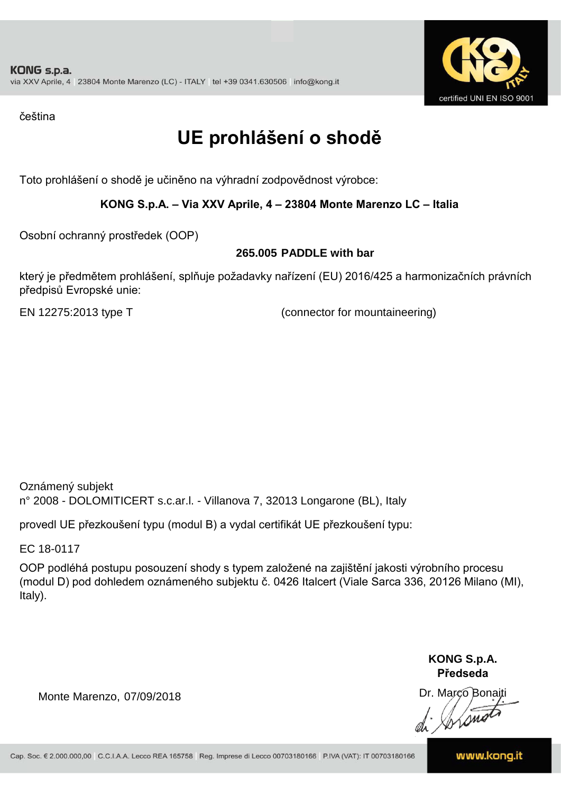

čeština

# **UE prohlášení o shodě**

Toto prohlášení o shodě je učiněno na výhradní zodpovědnost výrobce:

### **KONG S.p.A. – Via XXV Aprile, 4 – 23804 Monte Marenzo LC – Italia**

Osobní ochranný prostředek (OOP)

### **265.005 PADDLE with bar**

který je předmětem prohlášení, splňuje požadavky nařízení (EU) 2016/425 a harmonizačních právních předpisů Evropské unie:

EN 12275:2013 type T (connector for mountaineering)

Oznámený subjekt n° 2008 - DOLOMITICERT s.c.ar.l. - Villanova 7, 32013 Longarone (BL), Italy

provedl UE přezkoušení typu (modul B) a vydal certifikát UE přezkoušení typu:

EC 18-0117

OOP podléhá postupu posouzení shody s typem založené na zajištění jakosti výrobního procesu (modul D) pod dohledem oznámeného subjektu č. 0426 Italcert (Viale Sarca 336, 20126 Milano (MI), Italy).

> **KONG S.p.A. Předseda**

Dr. Marco Bonaiti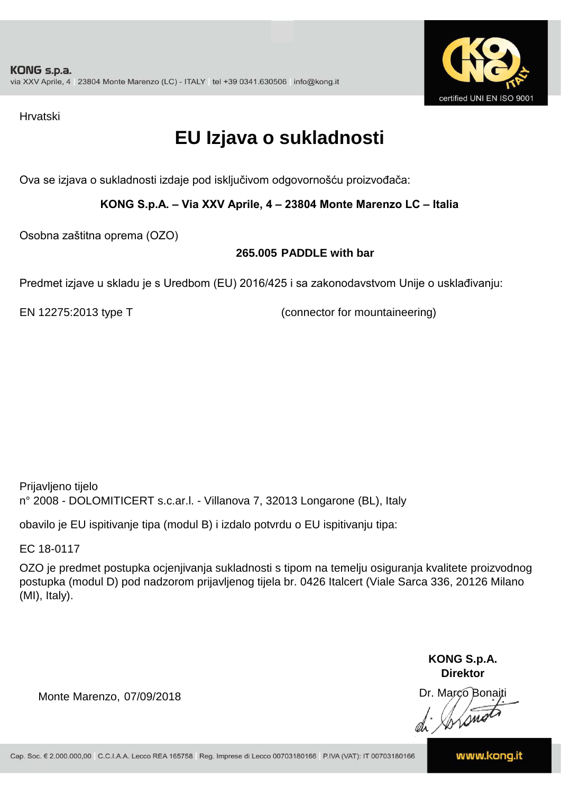

Hrvatski

# **EU Izjava o sukladnosti**

Ova se izjava o sukladnosti izdaje pod isključivom odgovornošću proizvođača:

**KONG S.p.A. – Via XXV Aprile, 4 – 23804 Monte Marenzo LC – Italia**

Osobna zaštitna oprema (OZO)

### **265.005 PADDLE with bar**

Predmet izjave u skladu je s Uredbom (EU) 2016/425 i sa zakonodavstvom Unije o usklađivanju:

EN 12275:2013 type T (connector for mountaineering)

Prijavljeno tijelo n° 2008 - DOLOMITICERT s.c.ar.l. - Villanova 7, 32013 Longarone (BL), Italy

obavilo je EU ispitivanje tipa (modul B) i izdalo potvrdu o EU ispitivanju tipa:

EC 18-0117

OZO je predmet postupka ocjenjivanja sukladnosti s tipom na temelju osiguranja kvalitete proizvodnog postupka (modul D) pod nadzorom prijavljenog tijela br. 0426 Italcert (Viale Sarca 336, 20126 Milano (MI), Italy).

> **KONG S.p.A. Direktor**

Dr. Marco Bonaiti

Monte Marenzo, 07/09/2018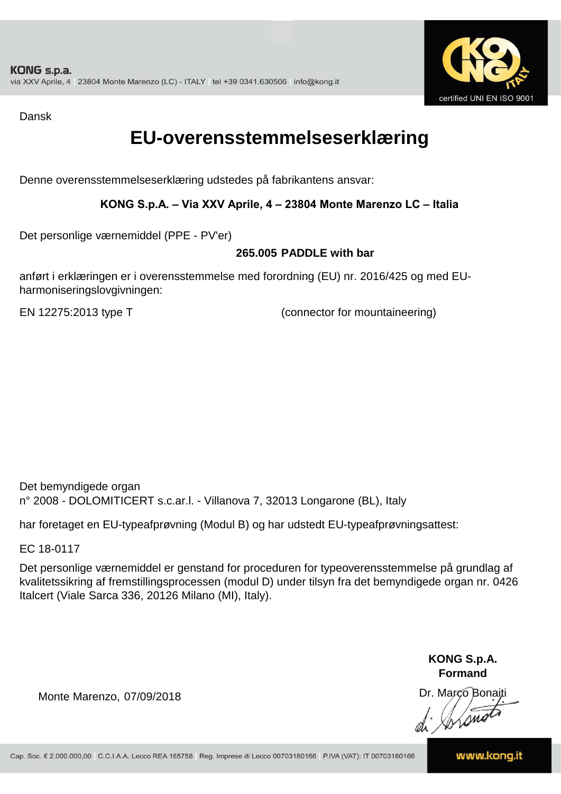

Dansk

### **EU-overensstemmelseserklæring**

Denne overensstemmelseserklæring udstedes på fabrikantens ansvar:

### **KONG S.p.A. – Via XXV Aprile, 4 – 23804 Monte Marenzo LC – Italia**

Det personlige værnemiddel (PPE - PV'er)

#### **265.005 PADDLE with bar**

anført i erklæringen er i overensstemmelse med forordning (EU) nr. 2016/425 og med EUharmoniseringslovgivningen:

EN 12275:2013 type T (connector for mountaineering)

Det bemyndigede organ n° 2008 - DOLOMITICERT s.c.ar.l. - Villanova 7, 32013 Longarone (BL), Italy

har foretaget en EU-typeafprøvning (Modul B) og har udstedt EU-typeafprøvningsattest:

EC 18-0117

Det personlige værnemiddel er genstand for proceduren for typeoverensstemmelse på grundlag af kvalitetssikring af fremstillingsprocessen (modul D) under tilsyn fra det bemyndigede organ nr. 0426 Italcert (Viale Sarca 336, 20126 Milano (MI), Italy).

> **KONG S.p.A. Formand**

Dr. Marco Bonaiti

Monte Marenzo, 07/09/2018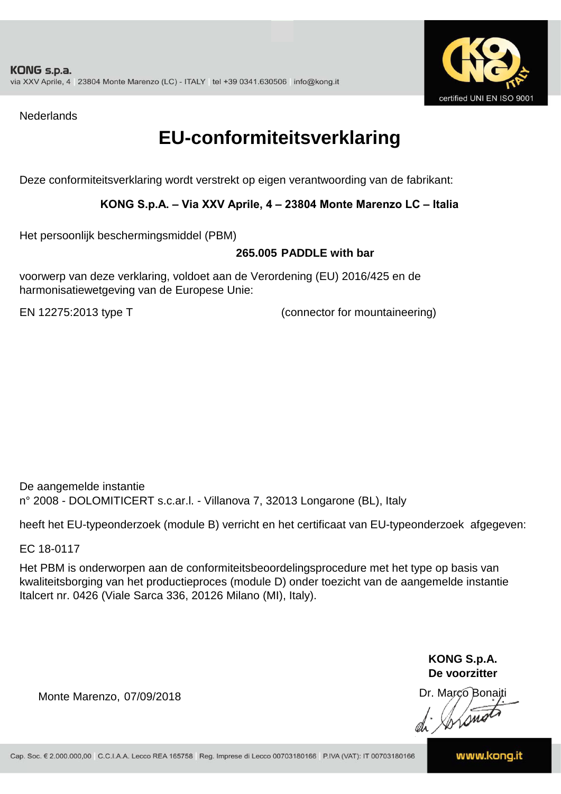

**Nederlands** 

### **EU-conformiteitsverklaring**

Deze conformiteitsverklaring wordt verstrekt op eigen verantwoording van de fabrikant:

### **KONG S.p.A. – Via XXV Aprile, 4 – 23804 Monte Marenzo LC – Italia**

Het persoonlijk beschermingsmiddel (PBM)

#### **265.005 PADDLE with bar**

voorwerp van deze verklaring, voldoet aan de Verordening (EU) 2016/425 en de harmonisatiewetgeving van de Europese Unie:

EN 12275:2013 type T (connector for mountaineering)

De aangemelde instantie n° 2008 - DOLOMITICERT s.c.ar.l. - Villanova 7, 32013 Longarone (BL), Italy

heeft het EU-typeonderzoek (module B) verricht en het certificaat van EU-typeonderzoek afgegeven:

EC 18-0117

Het PBM is onderworpen aan de conformiteitsbeoordelingsprocedure met het type op basis van kwaliteitsborging van het productieproces (module D) onder toezicht van de aangemelde instantie Italcert nr. 0426 (Viale Sarca 336, 20126 Milano (MI), Italy).

> **KONG S.p.A. De voorzitter**

Dr. Marco Bonaiti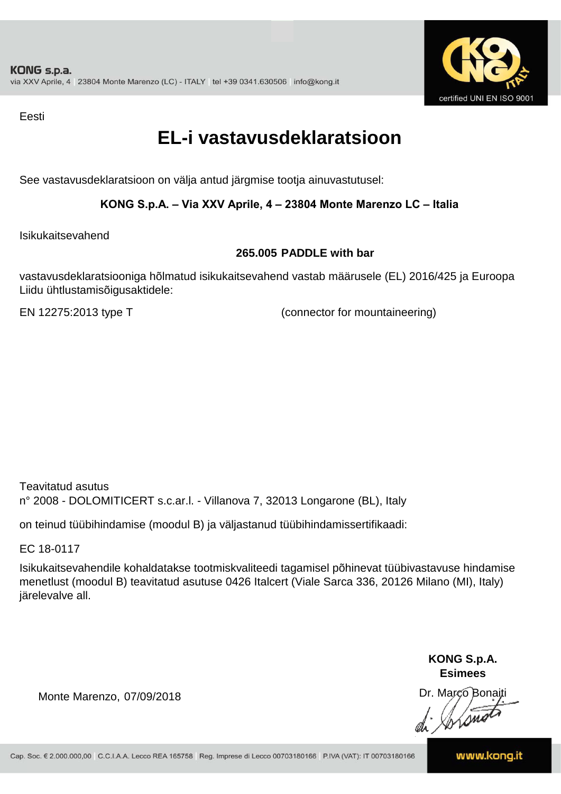

Eesti

### **EL-i vastavusdeklaratsioon**

See vastavusdeklaratsioon on välja antud järgmise tootja ainuvastutusel:

### **KONG S.p.A. – Via XXV Aprile, 4 – 23804 Monte Marenzo LC – Italia**

Isikukaitsevahend

#### **265.005 PADDLE with bar**

vastavusdeklaratsiooniga hõlmatud isikukaitsevahend vastab määrusele (EL) 2016/425 ja Euroopa Liidu ühtlustamisõigusaktidele:

EN 12275:2013 type T (connector for mountaineering)

Teavitatud asutus n° 2008 - DOLOMITICERT s.c.ar.l. - Villanova 7, 32013 Longarone (BL), Italy

on teinud tüübihindamise (moodul B) ja väljastanud tüübihindamissertifikaadi:

EC 18-0117

Isikukaitsevahendile kohaldatakse tootmiskvaliteedi tagamisel põhinevat tüübivastavuse hindamise menetlust (moodul B) teavitatud asutuse 0426 Italcert (Viale Sarca 336, 20126 Milano (MI), Italy) järelevalve all.

> **KONG S.p.A. Esimees**

Dr. Marco Bonaiti di Stono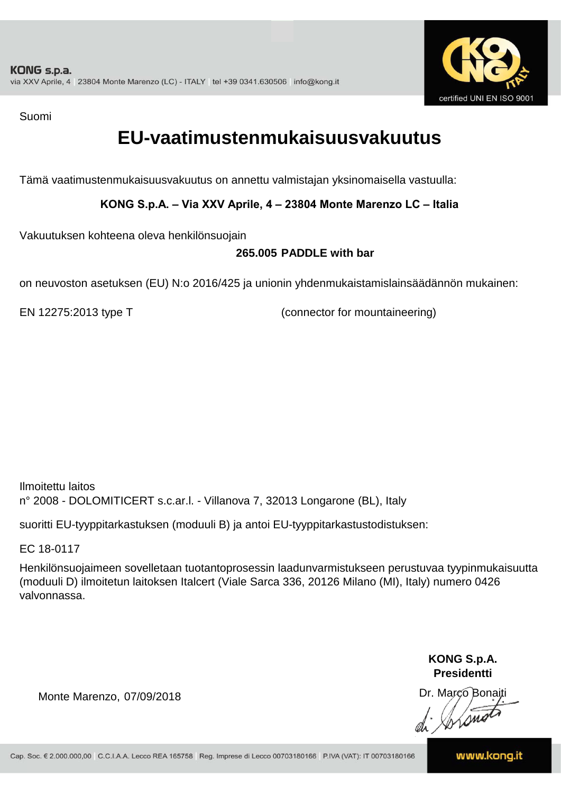

Suomi

### **EU-vaatimustenmukaisuusvakuutus**

Tämä vaatimustenmukaisuusvakuutus on annettu valmistajan yksinomaisella vastuulla:

**KONG S.p.A. – Via XXV Aprile, 4 – 23804 Monte Marenzo LC – Italia**

Vakuutuksen kohteena oleva henkilönsuojain

### **265.005 PADDLE with bar**

on neuvoston asetuksen (EU) N:o 2016/425 ja unionin yhdenmukaistamislainsäädännön mukainen:

EN 12275:2013 type T (connector for mountaineering)

Ilmoitettu laitos n° 2008 - DOLOMITICERT s.c.ar.l. - Villanova 7, 32013 Longarone (BL), Italy

suoritti EU-tyyppitarkastuksen (moduuli B) ja antoi EU-tyyppitarkastustodistuksen:

EC 18-0117

Henkilönsuojaimeen sovelletaan tuotantoprosessin laadunvarmistukseen perustuvaa tyypinmukaisuutta (moduuli D) ilmoitetun laitoksen Italcert (Viale Sarca 336, 20126 Milano (MI), Italy) numero 0426 valvonnassa.

> **KONG S.p.A. Presidentti**

Dr. Marco Bonaiti

Monte Marenzo, 07/09/2018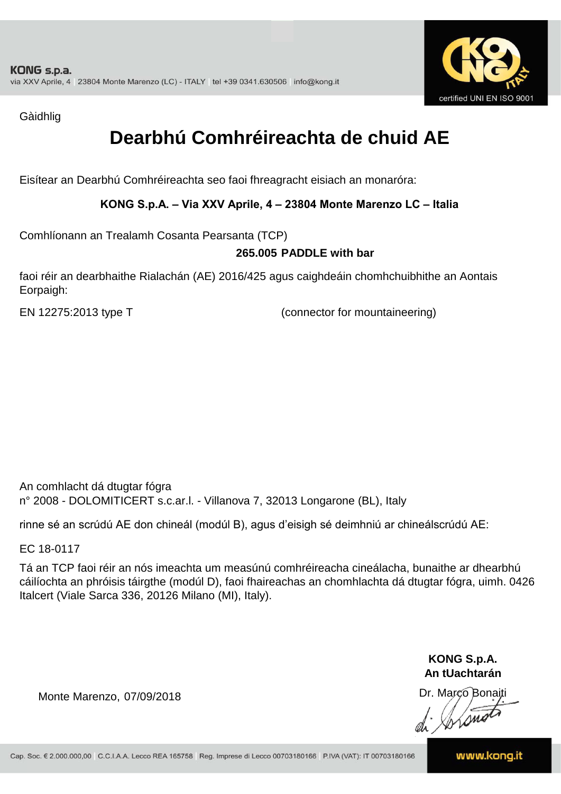

Gàidhlig

# **Dearbhú Comhréireachta de chuid AE**

Eisítear an Dearbhú Comhréireachta seo faoi fhreagracht eisiach an monaróra:

### **KONG S.p.A. – Via XXV Aprile, 4 – 23804 Monte Marenzo LC – Italia**

Comhlíonann an Trealamh Cosanta Pearsanta (TCP)

### **265.005 PADDLE with bar**

faoi réir an dearbhaithe Rialachán (AE) 2016/425 agus caighdeáin chomhchuibhithe an Aontais Eorpaigh:

EN 12275:2013 type T (connector for mountaineering)

An comhlacht dá dtugtar fógra n° 2008 - DOLOMITICERT s.c.ar.l. - Villanova 7, 32013 Longarone (BL), Italy

rinne sé an scrúdú AE don chineál (modúl B), agus d'eisigh sé deimhniú ar chineálscrúdú AE:

EC 18-0117

Tá an TCP faoi réir an nós imeachta um measúnú comhréireacha cineálacha, bunaithe ar dhearbhú cáilíochta an phróisis táirgthe (modúl D), faoi fhaireachas an chomhlachta dá dtugtar fógra, uimh. 0426 Italcert (Viale Sarca 336, 20126 Milano (MI), Italy).

> **KONG S.p.A. An tUachtarán**

Dr. Marco Bonaiti di Stono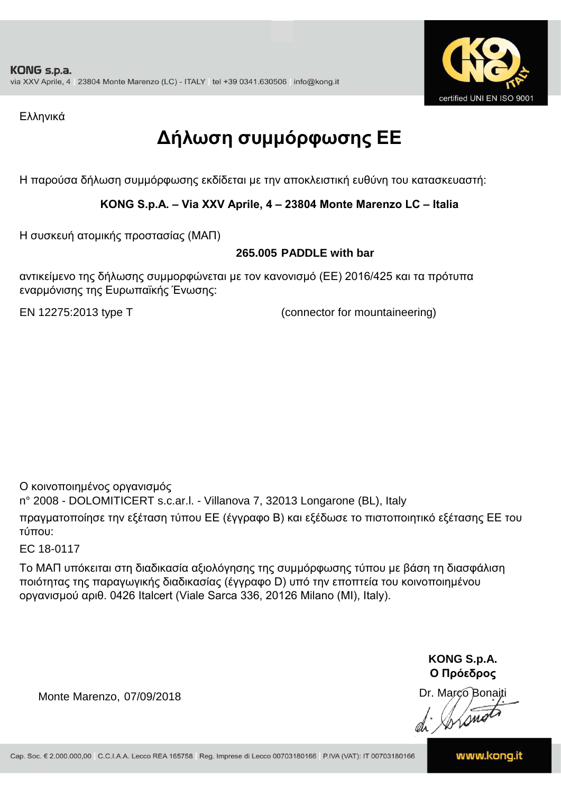

Ελληνικά

# **Δήλωση συμμόρφωσης ΕE**

Η παρούσα δήλωση συμμόρφωσης εκδίδεται με την αποκλειστική ευθύνη του κατασκευαστή:

### **KONG S.p.A. – Via XXV Aprile, 4 – 23804 Monte Marenzo LC – Italia**

Η συσκευή ατομικής προστασίας (ΜΑΠ)

### **265.005 PADDLE with bar**

αντικείμενο της δήλωσης συμμορφώνεται με τον κανονισμό (ΕΕ) 2016/425 και τα πρότυπα εναρμόνισης της Ευρωπαϊκής Ένωσης:

EN 12275:2013 type T (connector for mountaineering)

Ο κοινοποιημένος οργανισμός

n° 2008 - DOLOMITICERT s.c.ar.l. - Villanova 7, 32013 Longarone (BL), Italy

πραγματοποίησε την εξέταση τύπου ΕΕ (έγγραφο Β) και εξέδωσε το πιστοποιητικό εξέτασης ΕΕ του τύπου:

EC 18-0117

Το ΜΑΠ υπόκειται στη διαδικασία αξιολόγησης της συμμόρφωσης τύπου με βάση τη διασφάλιση ποιότητας της παραγωγικής διαδικασίας (έγγραφο D) υπό την εποπτεία του κοινοποιημένου οργανισμού αριθ. 0426 Italcert (Viale Sarca 336, 20126 Milano (MI), Italy).

> **KONG S.p.A. Ο Πρόεδρος**

Dr. Marco Bonaiti di Stonom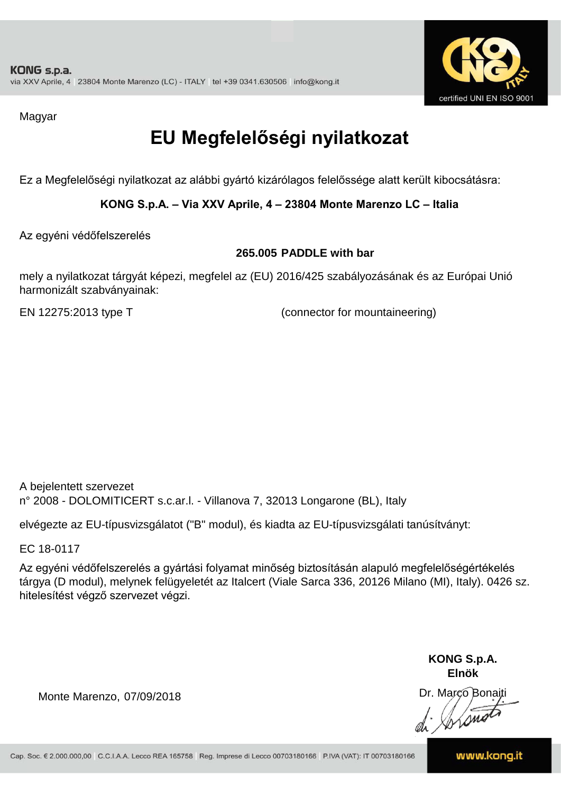

Magyar

# **EU Megfelelőségi nyilatkozat**

Ez a Megfelelőségi nyilatkozat az alábbi gyártó kizárólagos felelőssége alatt került kibocsátásra:

**KONG S.p.A. – Via XXV Aprile, 4 – 23804 Monte Marenzo LC – Italia**

Az egyéni védőfelszerelés

#### **265.005 PADDLE with bar**

mely a nyilatkozat tárgyát képezi, megfelel az (EU) 2016/425 szabályozásának és az Európai Unió harmonizált szabványainak:

EN 12275:2013 type T (connector for mountaineering)

A bejelentett szervezet n° 2008 - DOLOMITICERT s.c.ar.l. - Villanova 7, 32013 Longarone (BL), Italy

elvégezte az EU-típusvizsgálatot ("B" modul), és kiadta az EU-típusvizsgálati tanúsítványt:

EC 18-0117

Az egyéni védőfelszerelés a gyártási folyamat minőség biztosításán alapuló megfelelőségértékelés tárgya (D modul), melynek felügyeletét az Italcert (Viale Sarca 336, 20126 Milano (MI), Italy). 0426 sz. hitelesítést végző szervezet végzi.

> **KONG S.p.A. Elnök**

Dr. Marco Bonaiti di Aromor

Monte Marenzo, 07/09/2018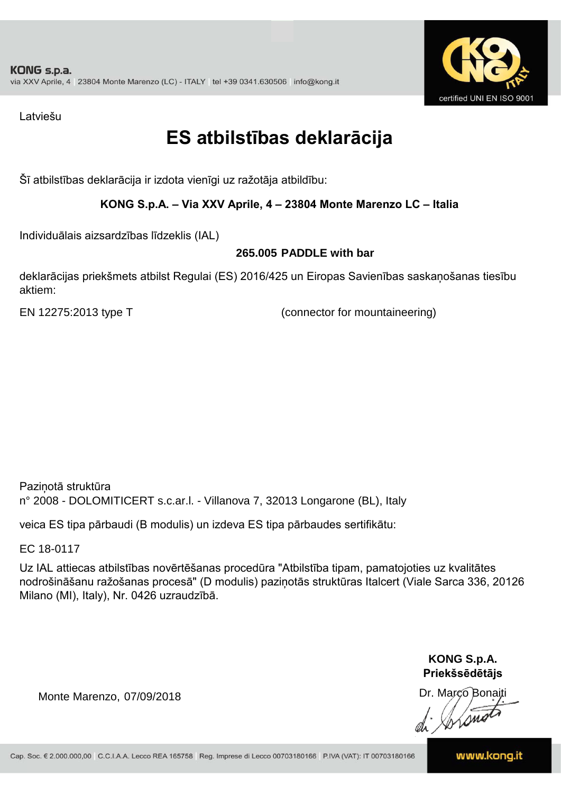

Latviešu

## **ES atbilstības deklarācija**

Šī atbilstības deklarācija ir izdota vienīgi uz ražotāja atbildību:

### **KONG S.p.A. – Via XXV Aprile, 4 – 23804 Monte Marenzo LC – Italia**

Individuālais aizsardzības līdzeklis (IAL)

### **265.005 PADDLE with bar**

deklarācijas priekšmets atbilst Regulai (ES) 2016/425 un Eiropas Savienības saskaņošanas tiesību aktiem:

EN 12275:2013 type T (connector for mountaineering)

Paziņotā struktūra n° 2008 - DOLOMITICERT s.c.ar.l. - Villanova 7, 32013 Longarone (BL), Italy

veica ES tipa pārbaudi (B modulis) un izdeva ES tipa pārbaudes sertifikātu:

EC 18-0117

Uz IAL attiecas atbilstības novērtēšanas procedūra "Atbilstība tipam, pamatojoties uz kvalitātes nodrošināšanu ražošanas procesā" (D modulis) paziņotās struktūras Italcert (Viale Sarca 336, 20126 Milano (MI), Italy), Nr. 0426 uzraudzībā.

> **KONG S.p.A. Priekšsēdētājs**

Dr. Marco Bonaiti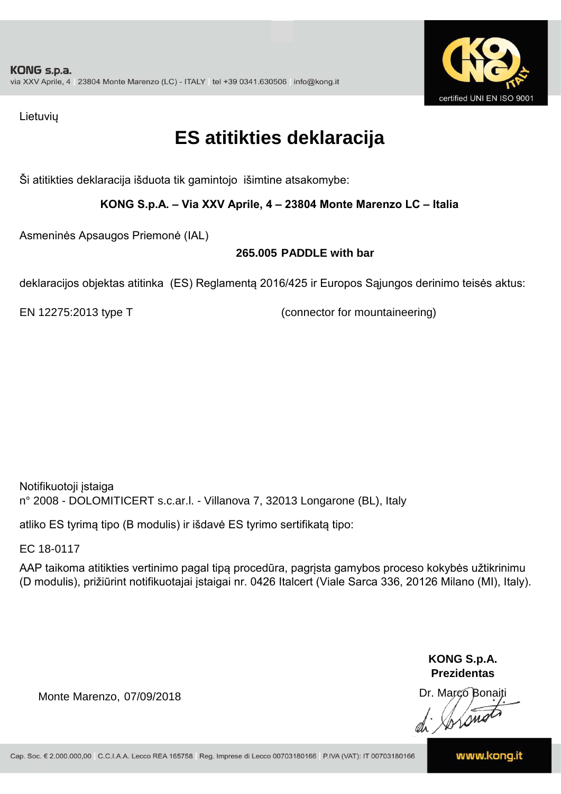

Lietuvių

### **ES atitikties deklaracija**

Ši atitikties deklaracija išduota tik gamintojo išimtine atsakomybe:

**KONG S.p.A. – Via XXV Aprile, 4 – 23804 Monte Marenzo LC – Italia**

Asmeninės Apsaugos Priemonė (IAL)

### **265.005 PADDLE with bar**

deklaracijos objektas atitinka (ES) Reglamentą 2016/425 ir Europos Sąjungos derinimo teisės aktus:

EN 12275:2013 type T (connector for mountaineering)

Notifikuotoji įstaiga n° 2008 - DOLOMITICERT s.c.ar.l. - Villanova 7, 32013 Longarone (BL), Italy

atliko ES tyrimą tipo (B modulis) ir išdavė ES tyrimo sertifikatą tipo:

EC 18-0117

AAP taikoma atitikties vertinimo pagal tipą procedūra, pagrįsta gamybos proceso kokybės užtikrinimu (D modulis), prižiūrint notifikuotajai įstaigai nr. 0426 Italcert (Viale Sarca 336, 20126 Milano (MI), Italy).

> **KONG S.p.A. Prezidentas**

Dr. Marco Bonaiti di Arono

Monte Marenzo, 07/09/2018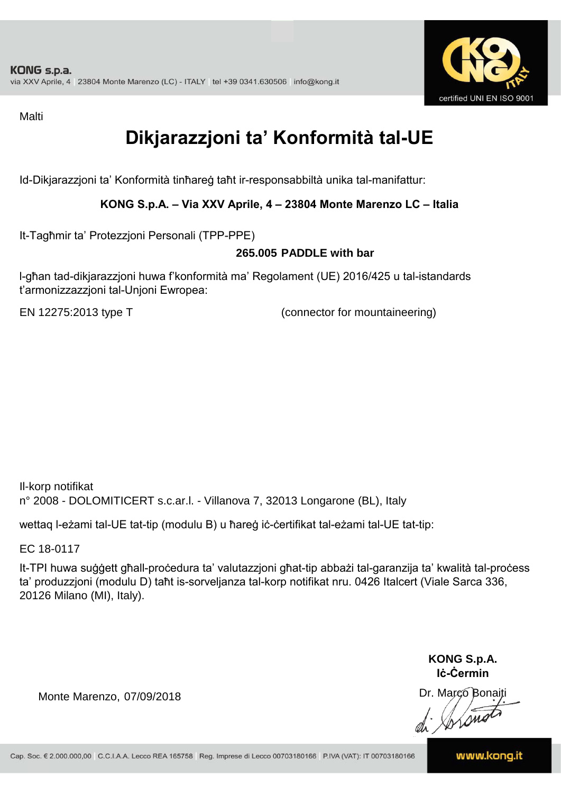

Malti

# **Dikjarazzjoni ta' Konformità tal-UE**

Id-Dikjarazzjoni ta' Konformità tinħareġ taħt ir-responsabbiltà unika tal-manifattur:

### **KONG S.p.A. – Via XXV Aprile, 4 – 23804 Monte Marenzo LC – Italia**

It-Tagħmir ta' Protezzjoni Personali (TPP-PPE)

#### **265.005 PADDLE with bar**

l-għan tad-dikjarazzjoni huwa f'konformità ma' Regolament (UE) 2016/425 u tal-istandards t'armonizzazzjoni tal-Unjoni Ewropea:

EN 12275:2013 type T (connector for mountaineering)

Il-korp notifikat n° 2008 - DOLOMITICERT s.c.ar.l. - Villanova 7, 32013 Longarone (BL), Italy

wettaq l-eżami tal-UE tat-tip (modulu B) u ħareġ iċ-ċertifikat tal-eżami tal-UE tat-tip:

EC 18-0117

It-TPI huwa suġġett għall-proċedura ta' valutazzjoni għat-tip abbażi tal-garanzija ta' kwalità tal-proċess ta' produzzjoni (modulu D) taħt is-sorveljanza tal-korp notifikat nru. 0426 Italcert (Viale Sarca 336, 20126 Milano (MI), Italy).

> **KONG S.p.A. Iċ-Ċermin**

Dr. Marco Bonaiti di Jordinat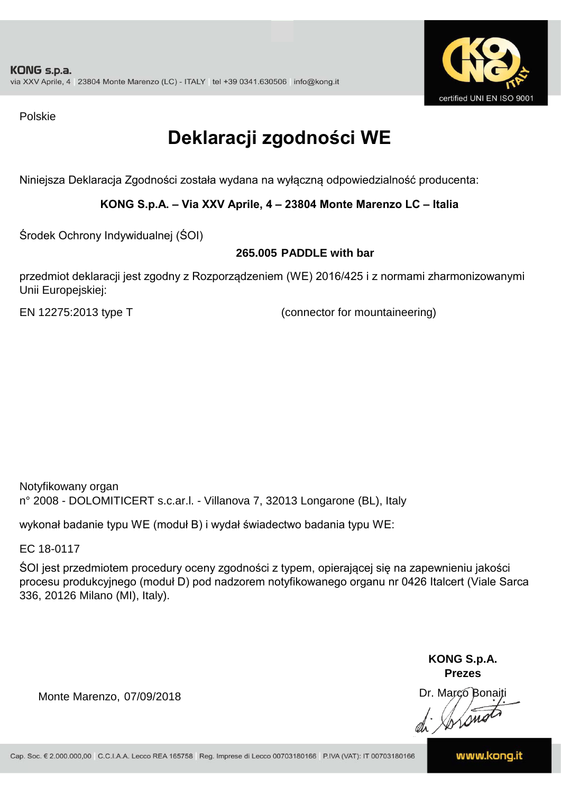

Polskie

# **Deklaracji zgodności WE**

Niniejsza Deklaracja Zgodności została wydana na wyłączną odpowiedzialność producenta:

**KONG S.p.A. – Via XXV Aprile, 4 – 23804 Monte Marenzo LC – Italia**

Środek Ochrony Indywidualnej (ŚOI)

### **265.005 PADDLE with bar**

przedmiot deklaracji jest zgodny z Rozporządzeniem (WE) 2016/425 i z normami zharmonizowanymi Unii Europejskiej:

EN 12275:2013 type T (connector for mountaineering)

Notyfikowany organ n° 2008 - DOLOMITICERT s.c.ar.l. - Villanova 7, 32013 Longarone (BL), Italy

wykonał badanie typu WE (moduł B) i wydał świadectwo badania typu WE:

EC 18-0117

ŚOI jest przedmiotem procedury oceny zgodności z typem, opierającej się na zapewnieniu jakości procesu produkcyjnego (moduł D) pod nadzorem notyfikowanego organu nr 0426 Italcert (Viale Sarca 336, 20126 Milano (MI), Italy).

> **KONG S.p.A. Prezes**

Dr. Marco Bonaiti di Arono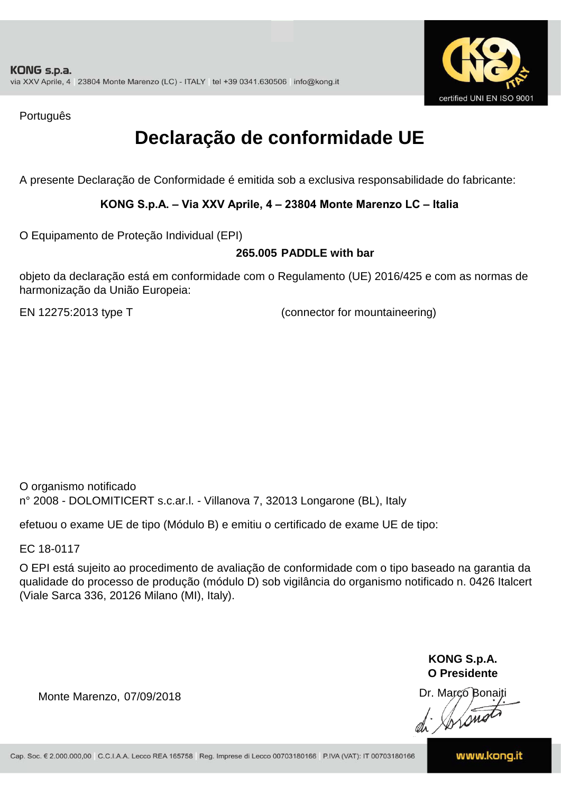

Português

## **Declaração de conformidade UE**

A presente Declaração de Conformidade é emitida sob a exclusiva responsabilidade do fabricante:

### **KONG S.p.A. – Via XXV Aprile, 4 – 23804 Monte Marenzo LC – Italia**

O Equipamento de Proteção Individual (EPI)

#### **265.005 PADDLE with bar**

objeto da declaração está em conformidade com o Regulamento (UE) 2016/425 e com as normas de harmonização da União Europeia:

EN 12275:2013 type T (connector for mountaineering)

O organismo notificado n° 2008 - DOLOMITICERT s.c.ar.l. - Villanova 7, 32013 Longarone (BL), Italy

efetuou o exame UE de tipo (Módulo B) e emitiu o certificado de exame UE de tipo:

EC 18-0117

O EPI está sujeito ao procedimento de avaliação de conformidade com o tipo baseado na garantia da qualidade do processo de produção (módulo D) sob vigilância do organismo notificado n. 0426 Italcert (Viale Sarca 336, 20126 Milano (MI), Italy).

> **KONG S.p.A. O Presidente**

Dr. Marco Bonaiti di Aromor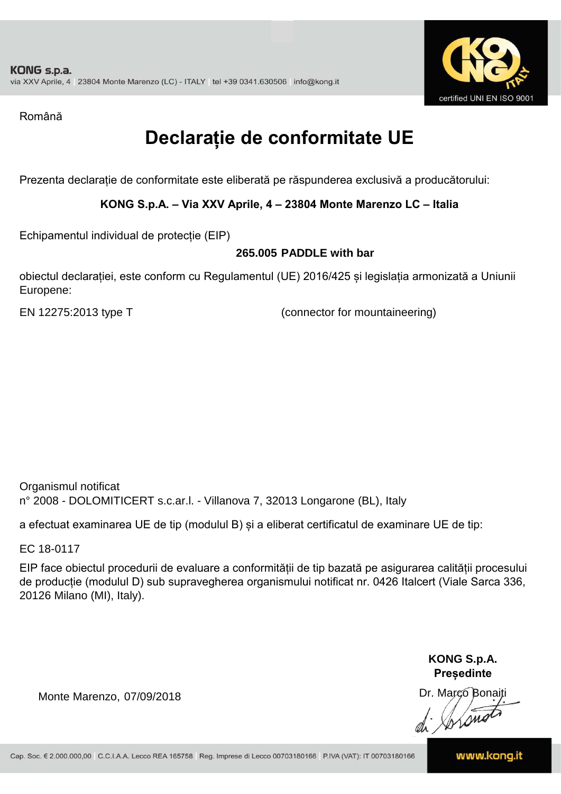

Română

# **Declarație de conformitate UE**

Prezenta declarație de conformitate este eliberată pe răspunderea exclusivă a producătorului:

**KONG S.p.A. – Via XXV Aprile, 4 – 23804 Monte Marenzo LC – Italia**

Echipamentul individual de protecție (EIP)

#### **265.005 PADDLE with bar**

obiectul declarației, este conform cu Regulamentul (UE) 2016/425 și legislația armonizată a Uniunii Europene:

EN 12275:2013 type T (connector for mountaineering)

Organismul notificat n° 2008 - DOLOMITICERT s.c.ar.l. - Villanova 7, 32013 Longarone (BL), Italy

a efectuat examinarea UE de tip (modulul B) și a eliberat certificatul de examinare UE de tip:

EC 18-0117

EIP face obiectul procedurii de evaluare a conformității de tip bazată pe asigurarea calității procesului de producție (modulul D) sub supravegherea organismului notificat nr. 0426 Italcert (Viale Sarca 336, 20126 Milano (MI), Italy).

> **KONG S.p.A. Președinte**

Dr. Marco Bonaiti di Stono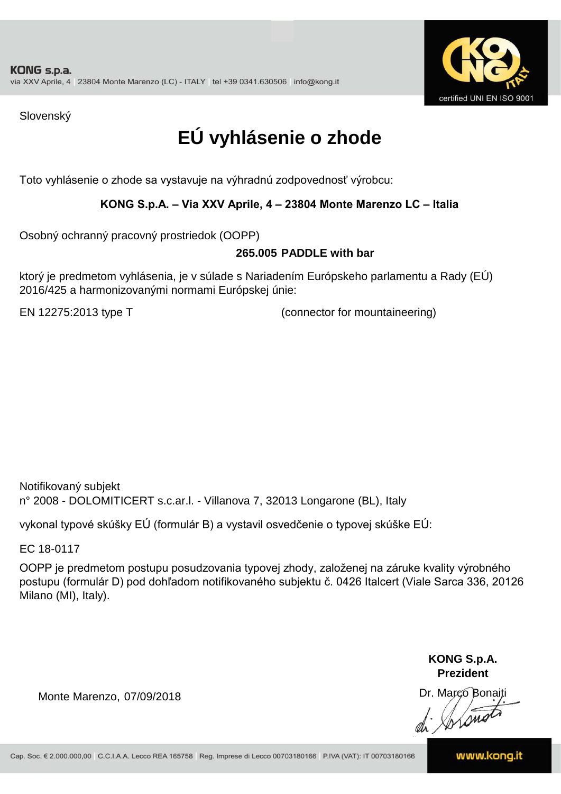

Slovenský

# **EÚ vyhlásenie o zhode**

Toto vyhlásenie o zhode sa vystavuje na výhradnú zodpovednosť výrobcu:

### **KONG S.p.A. – Via XXV Aprile, 4 – 23804 Monte Marenzo LC – Italia**

Osobný ochranný pracovný prostriedok (OOPP)

#### **265.005 PADDLE with bar**

ktorý je predmetom vyhlásenia, je v súlade s Nariadením Európskeho parlamentu a Rady (EÚ) 2016/425 a harmonizovanými normami Európskej únie:

EN 12275:2013 type T (connector for mountaineering)

Notifikovaný subjekt n° 2008 - DOLOMITICERT s.c.ar.l. - Villanova 7, 32013 Longarone (BL), Italy

vykonal typové skúšky EÚ (formulár B) a vystavil osvedčenie o typovej skúške EÚ:

EC 18-0117

OOPP je predmetom postupu posudzovania typovej zhody, založenej na záruke kvality výrobného postupu (formulár D) pod dohľadom notifikovaného subjektu č. 0426 Italcert (Viale Sarca 336, 20126 Milano (MI), Italy).

> **KONG S.p.A. Prezident**

Dr. Marco Bonaiti di Arsnot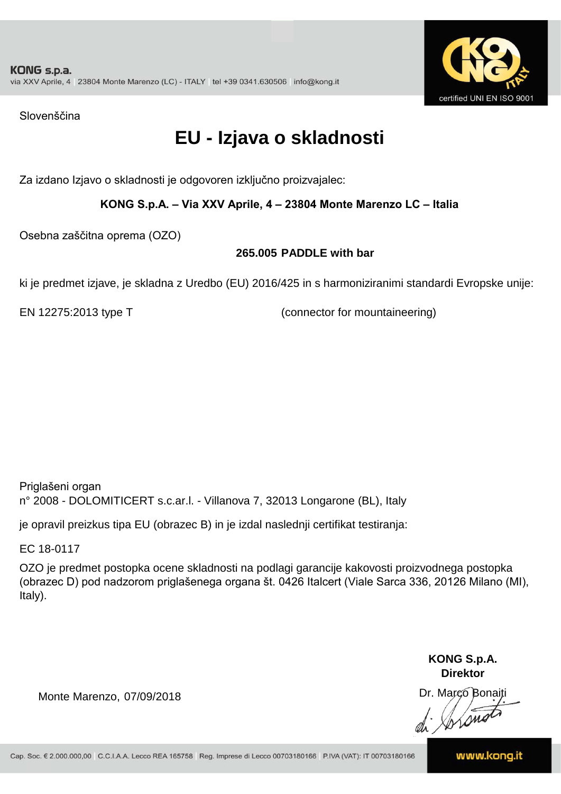

Slovenščina

## **EU - Izjava o skladnosti**

Za izdano Izjavo o skladnosti je odgovoren izključno proizvajalec:

### **KONG S.p.A. – Via XXV Aprile, 4 – 23804 Monte Marenzo LC – Italia**

Osebna zaščitna oprema (OZO)

### **265.005 PADDLE with bar**

ki je predmet izjave, je skladna z Uredbo (EU) 2016/425 in s harmoniziranimi standardi Evropske unije:

EN 12275:2013 type T (connector for mountaineering)

Priglašeni organ n° 2008 - DOLOMITICERT s.c.ar.l. - Villanova 7, 32013 Longarone (BL), Italy

je opravil preizkus tipa EU (obrazec B) in je izdal naslednji certifikat testiranja:

EC 18-0117

OZO je predmet postopka ocene skladnosti na podlagi garancije kakovosti proizvodnega postopka (obrazec D) pod nadzorom priglašenega organa št. 0426 Italcert (Viale Sarca 336, 20126 Milano (MI), Italy).

> **KONG S.p.A. Direktor**

Dr. Marco Bonaiti di Arono

Monte Marenzo, 07/09/2018